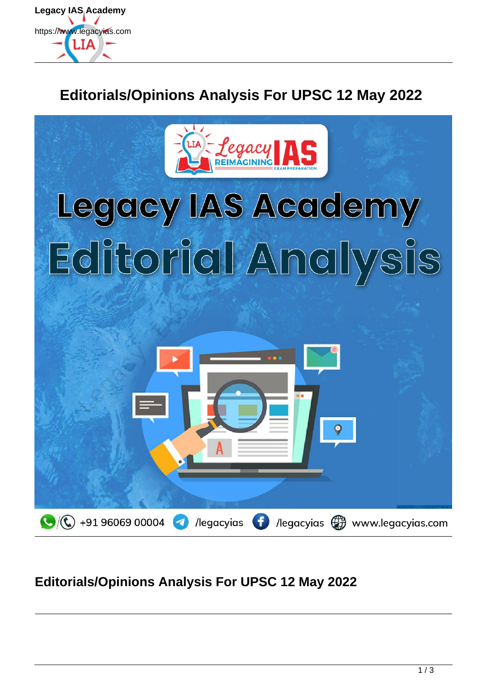

# **Editorials/Opinions Analysis For UPSC 12 May 2022**



## **Editorials/Opinions Analysis For UPSC 12 May 2022**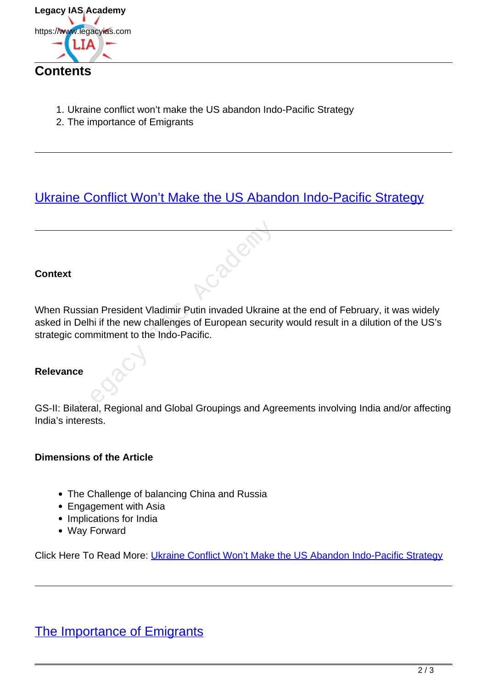

- 1. Ukraine conflict won't make the US abandon Indo-Pacific Strategy
- 2. The importance of Emigrants

## [Ukraine Conflict Won't Make the US Abandon Indo-Pacific Strategy](https://www.legacyias.com/ukraine-conflict-and-indo-pacific-strategy/)

#### **Context**

When Russian President Vladimir Putin invaded Ukraine at the end of February, it was widely asked in Delhi if the new challenges of European security would result in a dilution of the US's strategic commitment to the Indo-Pacific. Saian President Vladimir Putin invaded Ukraine<br>Delhi if the new challenges of European securit<br>commitment to the Indo-Pacific.<br>e<br>teral, Regional and Global Groupings and Agr

#### **Relevance**

GS-II: Bilateral, Regional and Global Groupings and Agreements involving India and/or affecting India's interests.

#### **Dimensions of the Article**

- The Challenge of balancing China and Russia
- Engagement with Asia
- Implications for India
- Way Forward

Click Here To Read More: Ukraine Conflict Won't Make the US Abandon Indo-Pacific Strategy

### The Importance of Emigrants